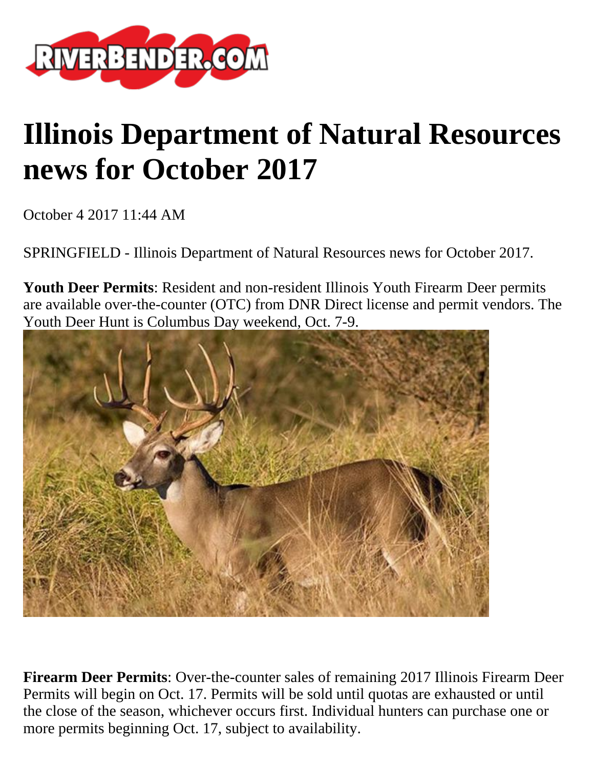

## **Illinois Department of Natural Resources news for October 2017**

October 4 2017 11:44 AM

SPRINGFIELD - Illinois Department of Natural Resources news for October 2017.

**Youth Deer Permits**: Resident and non-resident Illinois Youth Firearm Deer permits are available over-the-counter (OTC) from DNR Direct license and permit vendors. The Youth Deer Hunt is Columbus Day weekend, Oct. 7-9.



**Firearm Deer Permits**: Over-the-counter sales of remaining 2017 Illinois Firearm Deer Permits will begin on Oct. 17. Permits will be sold until quotas are exhausted or until the close of the season, whichever occurs first. Individual hunters can purchase one or more permits beginning Oct. 17, subject to availability.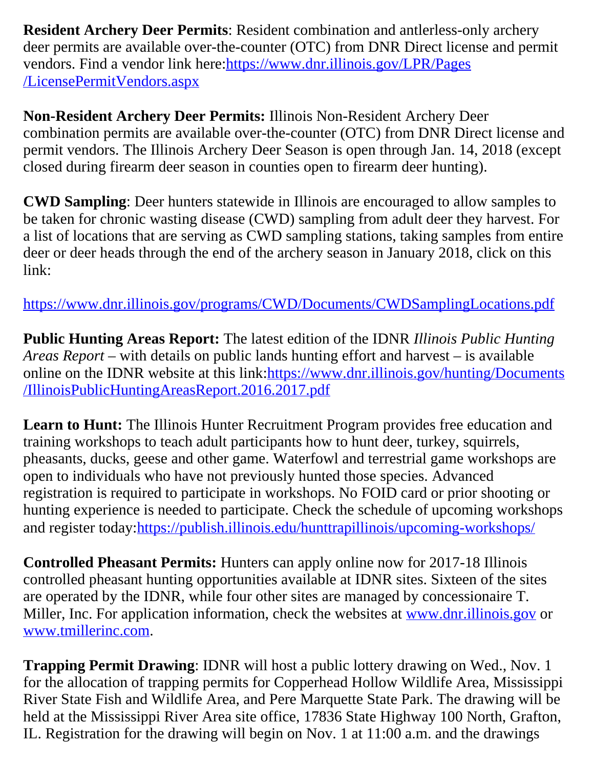**Resident Archery Deer Permits**: Resident combination and antlerless-only archery deer permits are available over-the-counter (OTC) from DNR Direct license and permit vendors. Find a vendor link here[:https://www.dnr.illinois.gov/LPR/Pages](https://www.dnr.illinois.gov/LPR/Pages/LicensePermitVendors.aspx) [/LicensePermitVendors.aspx](https://www.dnr.illinois.gov/LPR/Pages/LicensePermitVendors.aspx)

**Non-Resident Archery Deer Permits:** Illinois Non-Resident Archery Deer combination permits are available over-the-counter (OTC) from DNR Direct license and permit vendors. The Illinois Archery Deer Season is open through Jan. 14, 2018 (except closed during firearm deer season in counties open to firearm deer hunting).

**CWD Sampling**: Deer hunters statewide in Illinois are encouraged to allow samples to be taken for chronic wasting disease (CWD) sampling from adult deer they harvest. For a list of locations that are serving as CWD sampling stations, taking samples from entire deer or deer heads through the end of the archery season in January 2018, click on this link:

<https://www.dnr.illinois.gov/programs/CWD/Documents/CWDSamplingLocations.pdf>

**Public Hunting Areas Report:** The latest edition of the IDNR *Illinois Public Hunting Areas Report* – with details on public lands hunting effort and harvest – is available online on the IDNR website at this link:[https://www.dnr.illinois.gov/hunting/Documents](https://www.dnr.illinois.gov/hunting/Documents/IllinoisPublicHuntingAreasReport.2016.2017.pdf) [/IllinoisPublicHuntingAreasReport.2016.2017.pdf](https://www.dnr.illinois.gov/hunting/Documents/IllinoisPublicHuntingAreasReport.2016.2017.pdf)

Learn to Hunt: The Illinois Hunter Recruitment Program provides free education and training workshops to teach adult participants how to hunt deer, turkey, squirrels, pheasants, ducks, geese and other game. Waterfowl and terrestrial game workshops are open to individuals who have not previously hunted those species. Advanced registration is required to participate in workshops. No FOID card or prior shooting or hunting experience is needed to participate. Check the schedule of upcoming workshops and register today[:https://publish.illinois.edu/hunttrapillinois/upcoming-workshops/](https://publish.illinois.edu/hunttrapillinois/upcoming-workshops/)

**Controlled Pheasant Permits:** Hunters can apply online now for 2017-18 Illinois controlled pheasant hunting opportunities available at IDNR sites. Sixteen of the sites are operated by the IDNR, while four other sites are managed by concessionaire T. Miller, Inc. For application information, check the websites at [www.dnr.illinois.gov](http://www.dnr.illinois.gov/) or [www.tmillerinc.com](http://www.tmillerinc.com/).

**Trapping Permit Drawing**: IDNR will host a public lottery drawing on Wed., Nov. 1 for the allocation of trapping permits for Copperhead Hollow Wildlife Area, Mississippi River State Fish and Wildlife Area, and Pere Marquette State Park. The drawing will be held at the Mississippi River Area site office, 17836 State Highway 100 North, Grafton, IL. Registration for the drawing will begin on Nov. 1 at 11:00 a.m. and the drawings